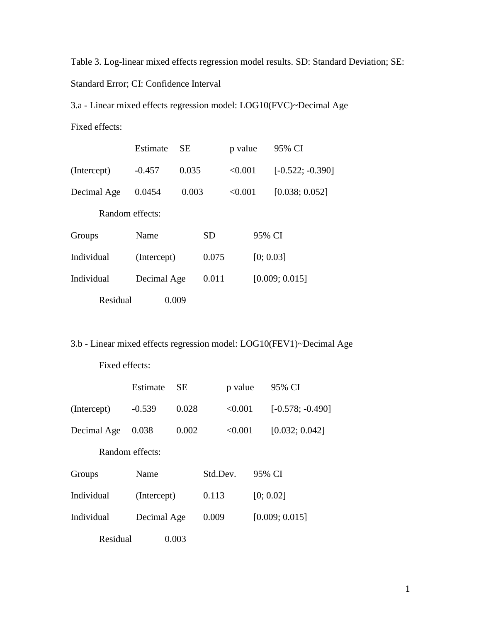Table 3. Log-linear mixed effects regression model results. SD: Standard Deviation; SE: Standard Error; CI: Confidence Interval

3.a - Linear mixed effects regression model: LOG10(FVC)~Decimal Age

Fixed effects:

|                 | Estimate    | <b>SE</b> |           | p value |           | 95% CI             |
|-----------------|-------------|-----------|-----------|---------|-----------|--------------------|
| (Intercept)     | $-0.457$    | 0.035     |           | < 0.001 |           | $[-0.522; -0.390]$ |
| Decimal Age     | 0.0454      | 0.003     |           | < 0.001 |           | [0.038; 0.052]     |
| Random effects: |             |           |           |         |           |                    |
| Groups          | Name        |           | <b>SD</b> |         | 95% CI    |                    |
| Individual      | (Intercept) |           | 0.075     |         | [0; 0.03] |                    |
| Individual      | Decimal Age |           | 0.011     |         |           | [0.009; 0.015]     |
| Residual        | 0.009       |           |           |         |           |                    |

3.b - Linear mixed effects regression model: LOG10(FEV1)~Decimal Age

|             | Estimate        | <b>SE</b> |          | p value |        | 95% CI             |
|-------------|-----------------|-----------|----------|---------|--------|--------------------|
| (Intercept) | $-0.539$        | 0.028     |          | < 0.001 |        | $[-0.578; -0.490]$ |
| Decimal Age | 0.038           | 0.002     |          | < 0.001 |        | [0.032; 0.042]     |
|             | Random effects: |           |          |         |        |                    |
| Groups      | Name            |           | Std.Dev. |         | 95% CI |                    |
| Individual  | (Intercept)     |           | 0.113    |         |        | [0; 0.02]          |
| Individual  | Decimal Age     |           | 0.009    |         |        | [0.009; 0.015]     |
| Residual    |                 | 0.003     |          |         |        |                    |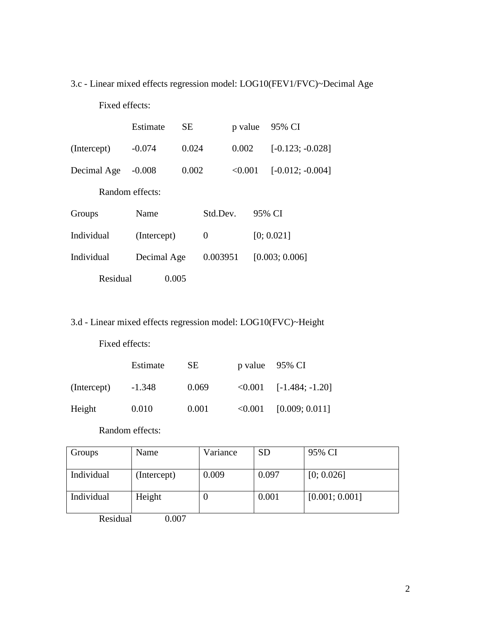## 3.c - Linear mixed effects regression model: LOG10(FEV1/FVC)~Decimal Age

Fixed effects:

|             | Estimate        | SЕ    |          | p value |        | 95% CI             |
|-------------|-----------------|-------|----------|---------|--------|--------------------|
| (Intercept) | $-0.074$        | 0.024 |          | 0.002   |        | $[-0.123; -0.028]$ |
| Decimal Age | $-0.008$        | 0.002 |          | < 0.001 |        | $[-0.012; -0.004]$ |
|             | Random effects: |       |          |         |        |                    |
| Groups      | Name            |       | Std.Dev. |         | 95% CI |                    |
| Individual  | (Intercept)     |       | 0        |         |        | [0; 0.021]         |
| Individual  | Decimal Age     |       | 0.003951 |         |        | [0.003; 0.006]     |
| Residual    |                 | 0.005 |          |         |        |                    |

3.d - Linear mixed effects regression model: LOG10(FVC)~Height

Fixed effects:

|             | Estimate | SE.   |         | p value 95% CI    |
|-------------|----------|-------|---------|-------------------|
| (Intercept) | $-1.348$ | 0.069 | < 0.001 | $[-1.484; -1.20]$ |
| Height      | 0.010    | 0.001 | < 0.001 | [0.009; 0.011]    |

Random effects:

| Groups     | Name        | Variance | <b>SD</b> | 95% CI         |
|------------|-------------|----------|-----------|----------------|
| Individual | (Intercept) | 0.009    | 0.097     | [0; 0.026]     |
|            |             |          |           |                |
| Individual | Height      |          | 0.001     | [0.001; 0.001] |
|            |             |          |           |                |
| Residual   | ).007       |          |           |                |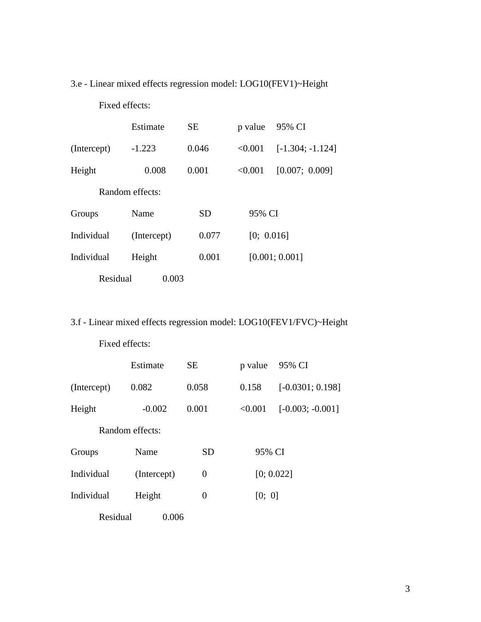## 3.e - Linear mixed effects regression model: LOG10(FEV1)~Height

Fixed effects:

|             | Estimate        | <b>SE</b> | p value    | 95% CI             |
|-------------|-----------------|-----------|------------|--------------------|
| (Intercept) | $-1.223$        | 0.046     | < 0.001    | $[-1.304; -1.124]$ |
| Height      | 0.008           | 0.001     | < 0.001    | [0.007; 0.009]     |
|             | Random effects: |           |            |                    |
| Groups      | Name            | <b>SD</b> | 95% CI     |                    |
| Individual  | (Intercept)     | 0.077     | [0; 0.016] |                    |
| Individual  | Height          | 0.001     |            | [0.001; 0.001]     |
| Residual    | 0.003           |           |            |                    |

3.f - Linear mixed effects regression model: LOG10(FEV1/FVC)~Height

|             | Estimate        | <b>SE</b>      | p value | 95% CI             |
|-------------|-----------------|----------------|---------|--------------------|
| (Intercept) | 0.082           | 0.058          | 0.158   | $[-0.0301; 0.198]$ |
| Height      | $-0.002$        | 0.001          | < 0.001 | $[-0.003; -0.001]$ |
|             | Random effects: |                |         |                    |
| Groups      | Name            | <b>SD</b>      | 95% CI  |                    |
| Individual  | (Intercept)     | $\overline{0}$ |         | [0; 0.022]         |
| Individual  | Height          | 0              | [0; 0]  |                    |
| Residual    | 0.006           |                |         |                    |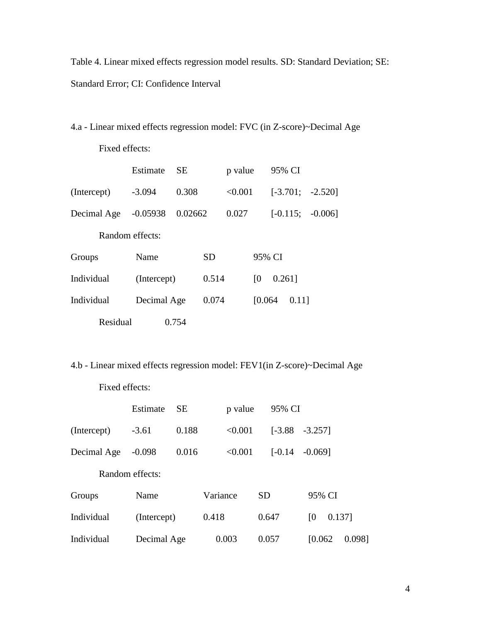Table 4. Linear mixed effects regression model results. SD: Standard Deviation; SE: Standard Error; CI: Confidence Interval

4.a - Linear mixed effects regression model: FVC (in Z-score)~Decimal Age

Fixed effects:

|             | Estimate        | <b>SE</b> |       | p value |         | 95% CI    |       |                    |
|-------------|-----------------|-----------|-------|---------|---------|-----------|-------|--------------------|
| (Intercept) | $-3.094$        | 0.308     |       | < 0.001 |         |           |       | $[-3.701; -2.520]$ |
| Decimal Age | $-0.05938$      | 0.02662   |       | 0.027   |         |           |       | $[-0.115; -0.006]$ |
|             | Random effects: |           |       |         |         |           |       |                    |
| Groups      | Name            |           | SD    |         |         | 95% CI    |       |                    |
| Individual  | (Intercept)     |           | 0.514 |         | [0]     | $0.261$ ] |       |                    |
| Individual  | Decimal Age     |           | 0.074 |         | [0.064] |           | 0.111 |                    |
| Residual    |                 | 0.754     |       |         |         |           |       |                    |

4.b - Linear mixed effects regression model: FEV1(in Z-score)~Decimal Age

|             | Estimate        | <b>SE</b> | p value  |    | 95% CI    |                |        |        |
|-------------|-----------------|-----------|----------|----|-----------|----------------|--------|--------|
| (Intercept) | $-3.61$         | 0.188     | < 0.001  |    | $[-3.88]$ | $-3.257$ ]     |        |        |
| Decimal Age | $-0.098$        | 0.016     | < 0.001  |    | $[-0.14]$ | $-0.0691$      |        |        |
|             | Random effects: |           |          |    |           |                |        |        |
| Groups      | Name            |           | Variance | SD |           | 95% CI         |        |        |
| Individual  | (Intercept)     |           | 0.418    |    | 0.647     | <sup>[0]</sup> | 0.137] |        |
| Individual  | Decimal Age     |           | 0.003    |    | 0.057     | [0.062]        |        | 0.0981 |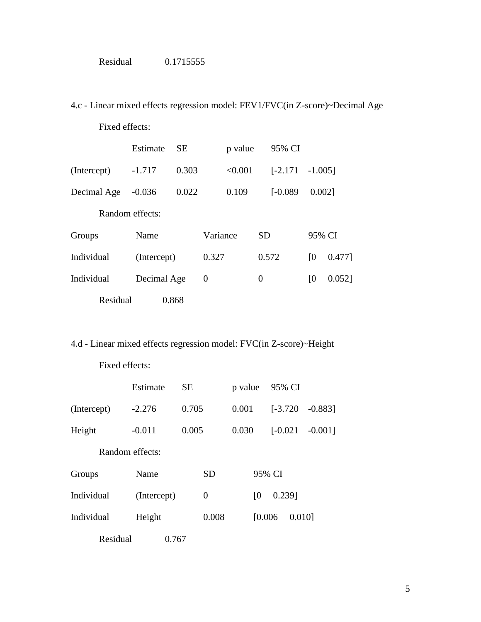| Residual | 0.1715555 |
|----------|-----------|
|----------|-----------|

4.c - Linear mixed effects regression model: FEV1/FVC(in Z-score)~Decimal Age

Fixed effects:

|                 | Estimate    | <b>SE</b> |                | p value |                | 95% CI            |                |           |
|-----------------|-------------|-----------|----------------|---------|----------------|-------------------|----------------|-----------|
| (Intercept)     | $-1.717$    | 0.303     |                | < 0.001 |                | $[-2.171 -1.005]$ |                |           |
| Decimal Age     | $-0.036$    | 0.022     |                | 0.109   |                | $[-0.089]$        | 0.0021         |           |
| Random effects: |             |           |                |         |                |                   |                |           |
| Groups          | Name        |           | Variance       |         | <b>SD</b>      |                   | 95% CI         |           |
| Individual      | (Intercept) |           | 0.327          |         |                | 0.572             | $\overline{0}$ | $0.477$ ] |
| Individual      | Decimal Age |           | $\overline{0}$ |         | $\overline{0}$ |                   | $\overline{0}$ | $0.052$ ] |
| Residual        |             | 0.868     |                |         |                |                   |                |           |

## 4.d - Linear mixed effects regression model: FVC(in Z-score)~Height

|             | Estimate        | <b>SE</b> |                | p value |         | 95% CI     |        |            |
|-------------|-----------------|-----------|----------------|---------|---------|------------|--------|------------|
| (Intercept) | $-2.276$        | 0.705     |                | 0.001   |         | $[-3.720]$ |        | $-0.883$ ] |
| Height      | $-0.011$        | 0.005     |                | 0.030   |         | $[-0.021]$ |        | $-0.001$ ] |
|             | Random effects: |           |                |         |         |            |        |            |
| Groups      | Name            |           | <b>SD</b>      |         | 95% CI  |            |        |            |
| Individual  | (Intercept)     |           | $\overline{0}$ |         | [0]     | 0.239]     |        |            |
| Individual  | Height          |           | 0.008          |         | [0.006] |            | 0.0101 |            |
| Residual    | 0.767           |           |                |         |         |            |        |            |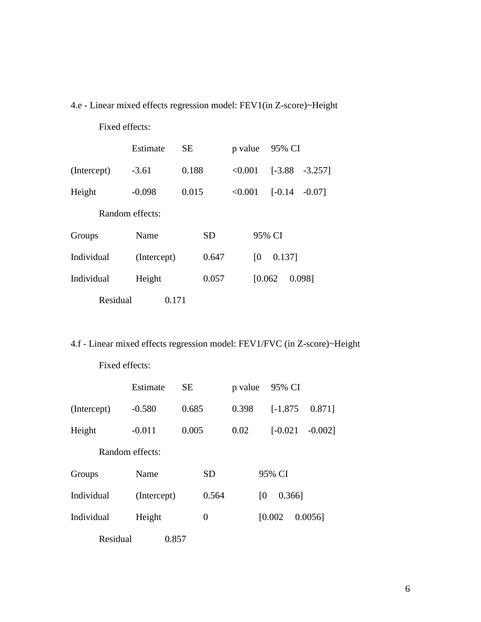4.e - Linear mixed effects regression model: FEV1(in Z-score)~Height

Fixed effects:

|                 | Estimate    | <b>SE</b> | p value        | 95% CI    |           |  |  |  |  |
|-----------------|-------------|-----------|----------------|-----------|-----------|--|--|--|--|
| (Intercept)     | $-3.61$     | 0.188     | < 0.001        | $[-3.88]$ | $-3.257$  |  |  |  |  |
| Height          | $-0.098$    | 0.015     | < 0.001        | $[-0.14]$ | $-0.07$ ] |  |  |  |  |
| Random effects: |             |           |                |           |           |  |  |  |  |
| Groups          | Name        | <b>SD</b> |                | 95% CI    |           |  |  |  |  |
| Individual      | (Intercept) | 0.647     | $\overline{0}$ | 0.137]    |           |  |  |  |  |
| Individual      | Height      | 0.057     | [0.062]        |           | 0.098]    |  |  |  |  |
| Residual        | 0.171       |           |                |           |           |  |  |  |  |

4.f - Linear mixed effects regression model: FEV1/FVC (in Z-score)~Height

|                 | Estimate    | <b>SE</b> |           | p value |                | 95% CI     |  |            |
|-----------------|-------------|-----------|-----------|---------|----------------|------------|--|------------|
| (Intercept)     | $-0.580$    | 0.685     |           | 0.398   |                | $[-1.875]$ |  | 0.871]     |
| Height          | $-0.011$    | 0.005     |           | 0.02    |                | $[-0.021]$ |  | $-0.002$ ] |
| Random effects: |             |           |           |         |                |            |  |            |
| Groups          | Name        |           | <b>SD</b> |         |                | 95% CI     |  |            |
| Individual      | (Intercept) |           | 0.564     |         | $\overline{0}$ | $0.366$ ]  |  |            |
| Individual      | Height      |           | 0         |         | [0.002]        |            |  | $0.0056$ ] |
| Residual        | 0.857       |           |           |         |                |            |  |            |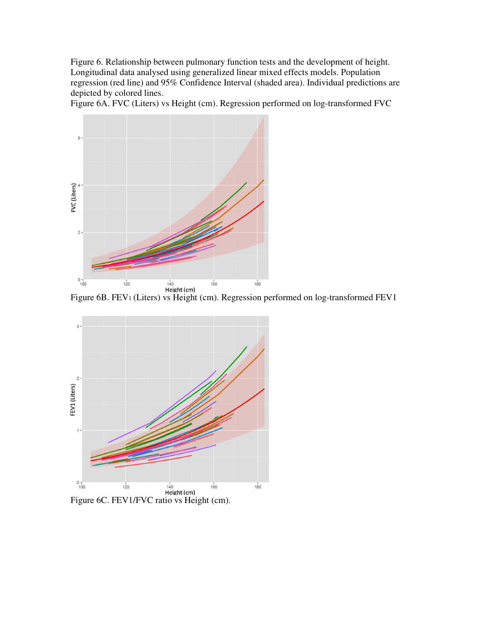Figure 6. Relationship between pulmonary function tests and the development of height. Longitudinal data analysed using generalized linear mixed effects models. Population regression (red line) and 95% Confidence Interval (shaded area). Individual predictions are depicted by colored lines.

Figure 6A. FVC (Liters) vs Height (cm). Regression performed on log-transformed FVC



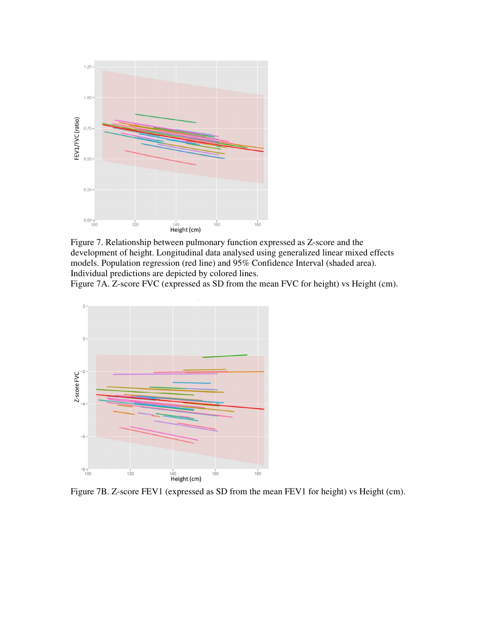

Figure 7. Relationship between pulmonary function expressed as Z-score and the development of height. Longitudinal data analysed using generalized linear mixed effects models. Population regression (red line) and 95% Confidence Interval (shaded area). Individual predictions are depicted by colored lines.

Figure 7A. Z-score FVC (expressed as SD from the mean FVC for height) vs Height (cm).



Figure 7B. Z-score FEV1 (expressed as SD from the mean FEV1 for height) vs Height (cm).